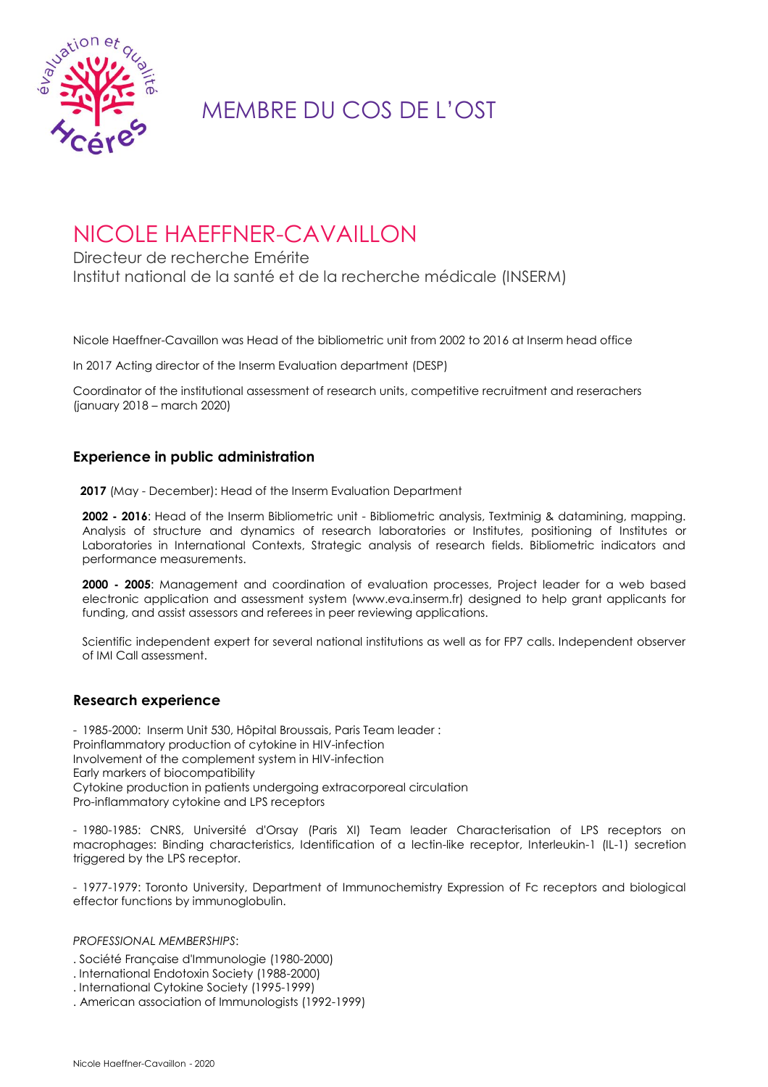

# MEMBRE DU COS DE L'OST

## NICOLE HAEFFNER-CAVAILLON

Directeur de recherche Emérite Institut national de la santé et de la recherche médicale (INSERM)

Nicole Haeffner-Cavaillon was Head of the bibliometric unit from 2002 to 2016 at Inserm head office

In 2017 Acting director of the Inserm Evaluation department (DESP)

Coordinator of the institutional assessment of research units, competitive recruitment and reserachers (january 2018 – march 2020)

### **Experience in public administration**

**2017** (May - December): Head of the Inserm Evaluation Department

**2002 - 2016**: Head of the Inserm Bibliometric unit - Bibliometric analysis, Textminig & datamining, mapping. Analysis of structure and dynamics of research laboratories or Institutes, positioning of Institutes or Laboratories in International Contexts, Strategic analysis of research fields. Bibliometric indicators and performance measurements.

**2000 - 2005**: Management and coordination of evaluation processes, Project leader for a web based electronic application and assessment system (www.eva.inserm.fr) designed to help grant applicants for funding, and assist assessors and referees in peer reviewing applications.

Scientific independent expert for several national institutions as well as for FP7 calls. Independent observer of IMI Call assessment.

### **Research experience**

- 1985-2000: Inserm Unit 530, Hôpital Broussais, Paris Team leader : Proinflammatory production of cytokine in HIV-infection Involvement of the complement system in HIV-infection Early markers of biocompatibility Cytokine production in patients undergoing extracorporeal circulation Pro-inflammatory cytokine and LPS receptors

- 1980-1985: CNRS, Université d'Orsay (Paris XI) Team leader Characterisation of LPS receptors on macrophages: Binding characteristics, Identification of a lectin-like receptor, Interleukin-1 (IL-1) secretion triggered by the LPS receptor.

- 1977-1979: Toronto University, Department of Immunochemistry Expression of Fc receptors and biological effector functions by immunoglobulin.

*PROFESSIONAL MEMBERSHIPS*:

- . Société Française d'Immunologie (1980-2000)
- . International Endotoxin Society (1988-2000)
- . International Cytokine Society (1995-1999)
- . American association of Immunologists (1992-1999)